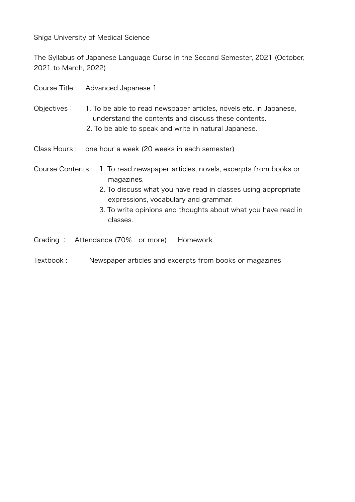Shiga University of Medical Science

The Syllabus of Japanese Language Curse in the Second Semester, 2021 (October, 2021 to March, 2022)

|             | Course Title: Advanced Japanese 1                                                                                                                                                                                                                                                   |
|-------------|-------------------------------------------------------------------------------------------------------------------------------------------------------------------------------------------------------------------------------------------------------------------------------------|
| Objectives: | 1. To be able to read newspaper articles, novels etc. in Japanese,<br>understand the contents and discuss these contents.<br>2. To be able to speak and write in natural Japanese.                                                                                                  |
|             | Class Hours: one hour a week (20 weeks in each semester)                                                                                                                                                                                                                            |
|             | Course Contents : 1. To read newspaper articles, novels, excerpts from books or<br>magazines.<br>2. To discuss what you have read in classes using appropriate<br>expressions, vocabulary and grammar.<br>3. To write opinions and thoughts about what you have read in<br>classes. |

- Grading : Attendance (70% or more) Homework
- Textbook : Newspaper articles and excerpts from books or magazines